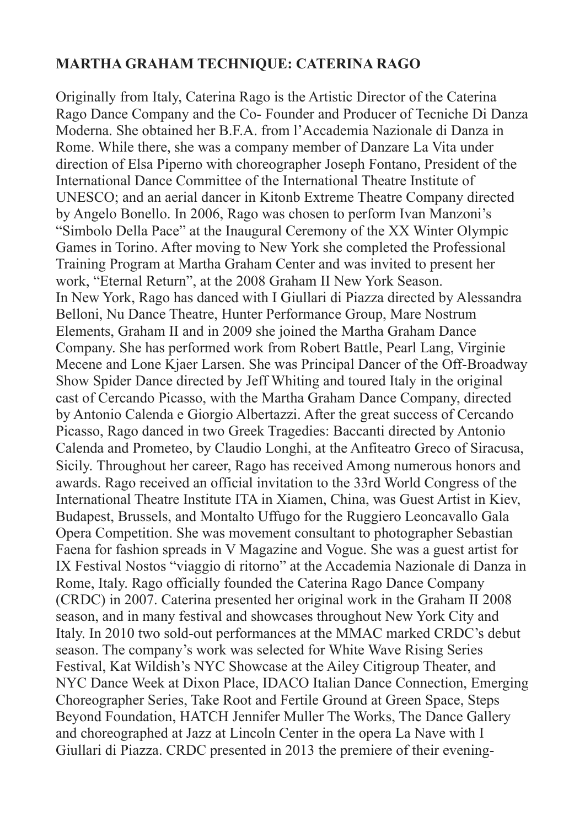## **MARTHA GRAHAM TECHNIQUE: CATERINA RAGO**

Originally from Italy, Caterina Rago is the Artistic Director of the Caterina Rago Dance Company and the Co- Founder and Producer of Tecniche Di Danza Moderna. She obtained her B.F.A. from l'Accademia Nazionale di Danza in Rome. While there, she was a company member of Danzare La Vita under direction of Elsa Piperno with choreographer Joseph Fontano, President of the International Dance Committee of the International Theatre Institute of UNESCO; and an aerial dancer in Kitonb Extreme Theatre Company directed by Angelo Bonello. In 2006, Rago was chosen to perform Ivan Manzoni's "Simbolo Della Pace" at the Inaugural Ceremony of the XX Winter Olympic Games in Torino. After moving to New York she completed the Professional Training Program at Martha Graham Center and was invited to present her work, "Eternal Return", at the 2008 Graham II New York Season. In New York, Rago has danced with I Giullari di Piazza directed by Alessandra Belloni, Nu Dance Theatre, Hunter Performance Group, Mare Nostrum Elements, Graham II and in 2009 she joined the Martha Graham Dance Company. She has performed work from Robert Battle, Pearl Lang, Virginie Mecene and Lone Kjaer Larsen. She was Principal Dancer of the Off-Broadway Show Spider Dance directed by Jeff Whiting and toured Italy in the original cast of Cercando Picasso, with the Martha Graham Dance Company, directed by Antonio Calenda e Giorgio Albertazzi. After the great success of Cercando Picasso, Rago danced in two Greek Tragedies: Baccanti directed by Antonio Calenda and Prometeo, by Claudio Longhi, at the Anfiteatro Greco of Siracusa, Sicily. Throughout her career, Rago has received Among numerous honors and awards. Rago received an official invitation to the 33rd World Congress of the International Theatre Institute ITA in Xiamen, China, was Guest Artist in Kiev, Budapest, Brussels, and Montalto Uffugo for the Ruggiero Leoncavallo Gala Opera Competition. She was movement consultant to photographer Sebastian Faena for fashion spreads in V Magazine and Vogue. She was a guest artist for IX Festival Nostos "viaggio di ritorno" at the Accademia Nazionale di Danza in Rome, Italy. Rago officially founded the Caterina Rago Dance Company (CRDC) in 2007. Caterina presented her original work in the Graham II 2008 season, and in many festival and showcases throughout New York City and Italy. In 2010 two sold-out performances at the MMAC marked CRDC's debut season. The company's work was selected for White Wave Rising Series Festival, Kat Wildish's NYC Showcase at the Ailey Citigroup Theater, and NYC Dance Week at Dixon Place, IDACO Italian Dance Connection, Emerging Choreographer Series, Take Root and Fertile Ground at Green Space, Steps Beyond Foundation, HATCH Jennifer Muller The Works, The Dance Gallery and choreographed at Jazz at Lincoln Center in the opera La Nave with I Giullari di Piazza. CRDC presented in 2013 the premiere of their evening